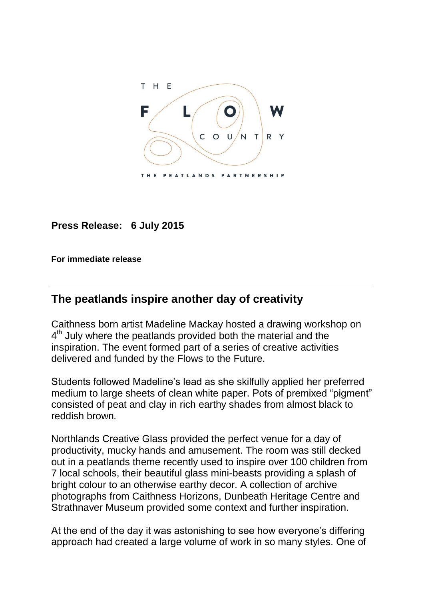

**Press Release: 6 July 2015**

**For immediate release**

## **The peatlands inspire another day of creativity**

Caithness born artist Madeline Mackay hosted a drawing workshop on 4<sup>th</sup> July where the peatlands provided both the material and the inspiration. The event formed part of a series of creative activities delivered and funded by the Flows to the Future.

Students followed Madeline's lead as she skilfully applied her preferred medium to large sheets of clean white paper. Pots of premixed "pigment" consisted of peat and clay in rich earthy shades from almost black to reddish brown*.*

Northlands Creative Glass provided the perfect venue for a day of productivity, mucky hands and amusement. The room was still decked out in a peatlands theme recently used to inspire over 100 children from 7 local schools, their beautiful glass mini-beasts providing a splash of bright colour to an otherwise earthy decor. A collection of archive photographs from Caithness Horizons, Dunbeath Heritage Centre and Strathnaver Museum provided some context and further inspiration.

At the end of the day it was astonishing to see how everyone's differing approach had created a large volume of work in so many styles. One of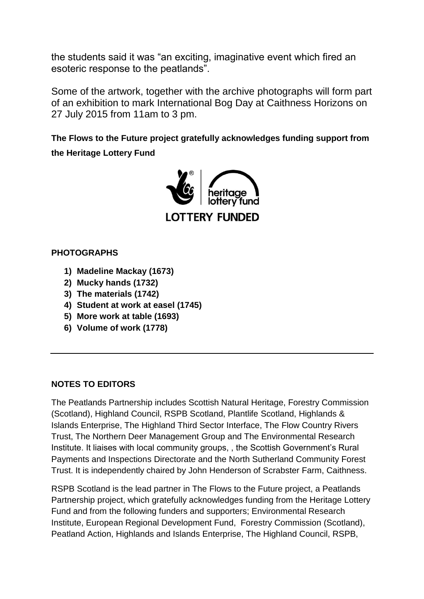the students said it was "an exciting, imaginative event which fired an esoteric response to the peatlands".

Some of the artwork, together with the archive photographs will form part of an exhibition to mark International Bog Day at Caithness Horizons on 27 July 2015 from 11am to 3 pm.

**The Flows to the Future project gratefully acknowledges funding support from the Heritage Lottery Fund** 



## **PHOTOGRAPHS**

- **1) Madeline Mackay (1673)**
- **2) Mucky hands (1732)**
- **3) The materials (1742)**
- **4) Student at work at easel (1745)**
- **5) More work at table (1693)**
- **6) Volume of work (1778)**

## **NOTES TO EDITORS**

The Peatlands Partnership includes Scottish Natural Heritage, Forestry Commission (Scotland), Highland Council, RSPB Scotland, Plantlife Scotland, Highlands & Islands Enterprise, The Highland Third Sector Interface, The Flow Country Rivers Trust, The Northern Deer Management Group and The Environmental Research Institute. It liaises with local community groups, , the Scottish Government's Rural Payments and Inspections Directorate and the North Sutherland Community Forest Trust. It is independently chaired by John Henderson of Scrabster Farm, Caithness.

RSPB Scotland is the lead partner in The Flows to the Future project, a Peatlands Partnership project, which gratefully acknowledges funding from the Heritage Lottery Fund and from the following funders and supporters; Environmental Research Institute, European Regional Development Fund, Forestry Commission (Scotland), Peatland Action, Highlands and Islands Enterprise, The Highland Council, RSPB,